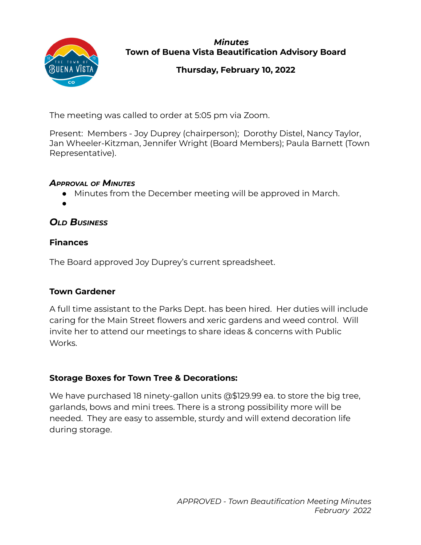

#### *Minutes* **Town of Buena Vista Beautification Advisory Board**

# **Thursday, February 10, 2022**

The meeting was called to order at 5:05 pm via Zoom.

Present: Members - Joy Duprey (chairperson); Dorothy Distel, Nancy Taylor, Jan Wheeler-Kitzman, Jennifer Wright (Board Members); Paula Barnett (Town Representative).

### *APPROVAL OF MINUTES*

- Minutes from the December meeting will be approved in March.
- ●

# *OLD BUSINESS*

# **Finances**

The Board approved Joy Duprey's current spreadsheet.

# **Town Gardener**

A full time assistant to the Parks Dept. has been hired. Her duties will include caring for the Main Street flowers and xeric gardens and weed control. Will invite her to attend our meetings to share ideas & concerns with Public Works.

# **Storage Boxes for Town Tree & Decorations:**

We have purchased 18 ninety-gallon units @\$129.99 ea. to store the big tree, garlands, bows and mini trees. There is a strong possibility more will be needed. They are easy to assemble, sturdy and will extend decoration life during storage.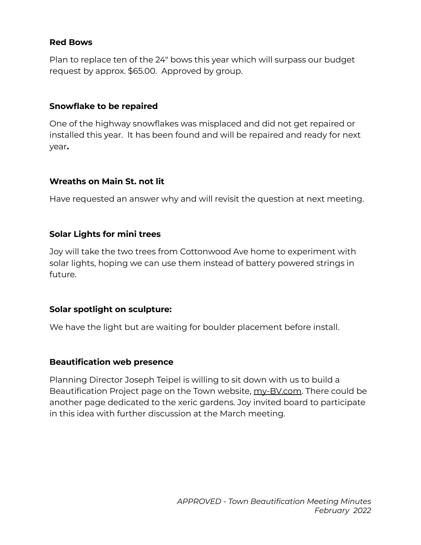#### **Red Bows**

Plan to replace ten of the 24" bows this year which will surpass our budget request by approx. \$65.00. Approved by group.

### **Snowflake to be repaired**

One of the highway snowflakes was misplaced and did not get repaired or installed this year. It has been found and will be repaired and ready for next year**.**

## **Wreaths on Main St. not lit**

Have requested an answer why and will revisit the question at next meeting.

### **Solar Lights for mini trees**

Joy will take the two trees from Cottonwood Ave home to experiment with solar lights, hoping we can use them instead of battery powered strings in future.

## **Solar spotlight on sculpture:**

We have the light but are waiting for boulder placement before install.

#### **Beautification web presence**

Planning Director Joseph Teipel is willing to sit down with us to build a Beautification Project page on the Town website, my-BV.com. There could be another page dedicated to the xeric gardens. Joy invited board to participate in this idea with further discussion at the March meeting.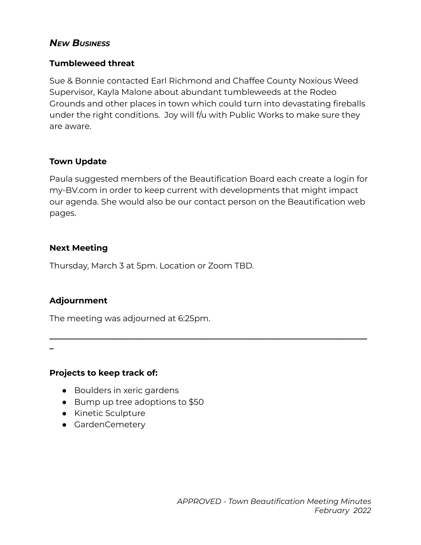# *NEW BUSINESS*

#### **Tumbleweed threat**

Sue & Bonnie contacted Earl Richmond and Chaffee County Noxious Weed Supervisor, Kayla Malone about abundant tumbleweeds at the Rodeo Grounds and other places in town which could turn into devastating fireballs under the right conditions. Joy will f/u with Public Works to make sure they are aware.

#### **Town Update**

Paula suggested members of the Beautification Board each create a login for my-BV.com in order to keep current with developments that might impact our agenda. She would also be our contact person on the Beautification web pages.

**\_\_\_\_\_\_\_\_\_\_\_\_\_\_\_\_\_\_\_\_\_\_\_\_\_\_\_\_\_\_\_\_\_\_\_\_\_\_\_\_\_\_\_\_\_\_\_\_\_\_\_\_\_\_\_\_\_\_\_\_\_\_\_\_\_\_\_\_\_\_\_\_\_\_\_\_\_**

### **Next Meeting**

Thursday, March 3 at 5pm. Location or Zoom TBD.

## **Adjournment**

The meeting was adjourned at 6:25pm.

**\_**

#### **Projects to keep track of:**

- Boulders in xeric gardens
- Bump up tree adoptions to \$50
- Kinetic Sculpture
- GardenCemetery